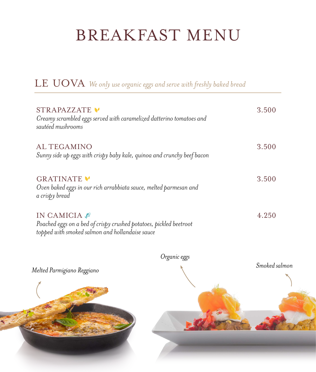# BREAKFAST MENU

| STRAPAZZATE<br>Creamy scrambled eggs served with caramelized datterino tomatoes and<br>sautéed mushrooms                            | 3.500 |
|-------------------------------------------------------------------------------------------------------------------------------------|-------|
| <b>ALTEGAMINO</b><br>Sunny side up eggs with crispy baby kale, quinoa and crunchy beef bacon                                        | 3.500 |
| GRATINATE V<br>Oven baked eggs in our rich arrabbiata sauce, melted parmesan and<br>a crispy bread                                  | 3.500 |
| IN CAMICIA<br>Poached eggs on a bed of crispy crushed potatoes, pickled beetroot<br>topped with smoked salmon and hollandaise sauce | 4.250 |

LE UOVA *We only use organic eggs and serve with freshly baked bread*



*Organic eggs*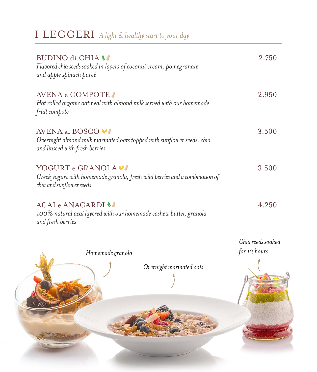| I LEGGERI A light & healthy start to your day                                                                                        |                                     |
|--------------------------------------------------------------------------------------------------------------------------------------|-------------------------------------|
| BUDINO di CHIA LA<br>Flavored chia seeds soaked in layers of coconut cream, pomegranate<br>and apple spinach pureé                   | 2.750                               |
| AVENA e COMPOTE<br>Hot rolled organic oatmeal with almond milk served with our homemade<br>fruit compote                             | 2.950                               |
| <b>AVENA al BOSCO VA</b><br>Overnight almond milk marinated oats topped with sunflower seeds, chia<br>and linseed with fresh berries | 3.500                               |
| YOGURT e GRANOLA<br>Greek yogurt with homemade granola, fresh wild berries and a combination of<br>chia and sunflower seeds          | 3.500                               |
| ACAI e ANACARDI<br>100% natural acai layered with our homemade cashew butter, granola<br>and fresh berries                           | 4.250                               |
| Homemade granola                                                                                                                     | Chia seeds soaked<br>for $12$ hours |

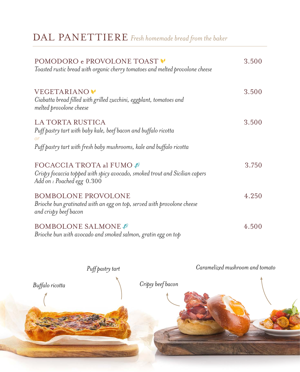| POMODORO e PROVOLONE TOAST<br>Toasted rustic bread with organic cherry tomatoes and melted provolone cheese                                                              | 3.500 |
|--------------------------------------------------------------------------------------------------------------------------------------------------------------------------|-------|
| VEGETARIANO <sup>.</sup><br>Ciabatta bread filled with grilled zucchini, eggplant, tomatoes and<br>melted provolone cheese                                               | 3.500 |
| LA TORTA RUSTICA<br>Puff pastry tart with baby kale, beef bacon and buffalo ricotta<br><b>or</b><br>Puff pastry tart with fresh baby mushrooms, kale and buffalo ricotta | 3.500 |
| FOCACCIA TROTA al FUMO #<br>Crispy focaccia topped with spicy avocado, smoked trout and Sicilian capers<br>Add on : Poached egg 0.300                                    | 3.750 |
| <b>BOMBOLONE PROVOLONE</b><br>Brioche bun gratinated with an egg on top, served with provolone cheese<br>and crispy beef bacon                                           | 4.250 |
| <b>BOMBOLONE SALMONE</b><br>Brioche bun with avocado and smoked salmon, gratin egg on top                                                                                | 4.500 |

### DAL PANETTIERE *Fresh homemade bread from the baker*

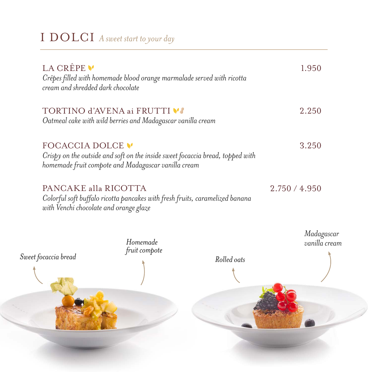## I DOLCI *A sweet start to your day*

| LA CRÊPE V<br>cream and shredded dark chocolate | Crêpes filled with homemade blood orange marmalade served with ricotta                                                                                   |             | 1.950                       |
|-------------------------------------------------|----------------------------------------------------------------------------------------------------------------------------------------------------------|-------------|-----------------------------|
|                                                 | TORTINO d'AVENA ai FRUTTI VI<br>Oatmeal cake with wild berries and Madagascar vanilla cream                                                              |             | 2.250                       |
| FOCACCIA DOLCE V                                | Crispy on the outside and soft on the inside sweet focaccia bread, topped with<br>homemade fruit compote and Madagascar vanilla cream                    |             | 3.250                       |
|                                                 | PANCAKE alla RICOTTA<br>Colorful soft buffalo ricotta pancakes with fresh fruits, caramelized banana<br>with Venchi chocolate and orange glaze<br>$\cup$ |             | 2.750 / 4.950               |
| Sweet focaccia bread                            | Homemade<br>fruit compote                                                                                                                                | Rolled oats | Madagascar<br>vanilla cream |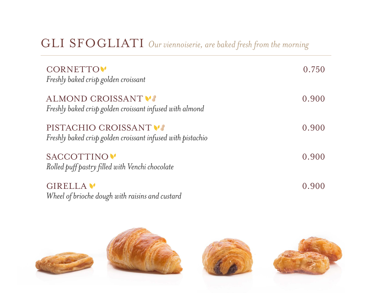#### GLI SFOGLIATI *Our viennoiserie, are baked fresh from the morning*

| <b>CORNETTO</b><br>Freshly baked crisp golden croissant                            | 0.750 |
|------------------------------------------------------------------------------------|-------|
| ALMOND CROISSANT V<br>Freshly baked crisp golden croissant infused with almond     | 0.900 |
| PISTACHIO CROISSANT<br>Freshly baked crisp golden croissant infused with pistachio | 0.900 |
| SACCOTTINO <sup>V</sup><br>Rolled puff pastry filled with Venchi chocolate         | 0.900 |
| GIRELLA V<br>Wheel of brioche dough with raisins and custard                       | 0.900 |